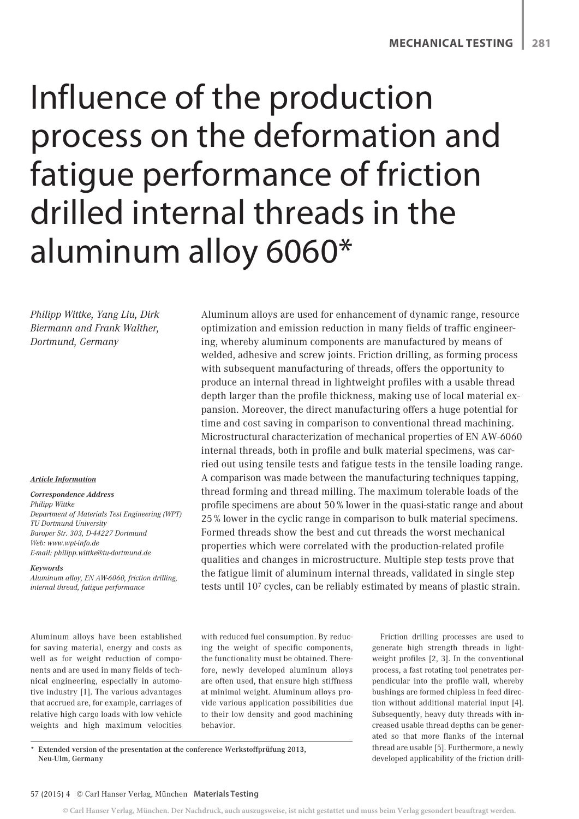# Influence of the production process on the deformation and fatigue performance of friction drilled internal threads in the aluminum alloy 6060\*

*Philipp Wittke, Yang Liu, Dirk Biermann and Frank Walther, Dortmund, Germany*

#### *Article Information*

*Correspondence Address Philipp Wittke Department of Materials Test Engineering (WPT) TU Dortmund University Baroper Str. 303, D-44227 Dortmund Web: www.wpt-info.de E-mail: philipp.wittke@tu-dortmund.de*

#### *Keywords*

*Aluminum alloy, EN AW-6060, friction drilling, internal thread, fatigue performance*

Aluminum alloys have been established for saving material, energy and costs as well as for weight reduction of components and are used in many fields of technical engineering, especially in automotive industry [1]. The various advantages that accrued are, for example, carriages of relative high cargo loads with low vehicle weights and high maximum velocities optimization and emission reduction in many fields of traffic engineering, whereby aluminum components are manufactured by means of welded, adhesive and screw joints. Friction drilling, as forming process with subsequent manufacturing of threads, offers the opportunity to produce an internal thread in lightweight profiles with a usable thread depth larger than the profile thickness, making use of local material expansion. Moreover, the direct manufacturing offers a huge potential for time and cost saving in comparison to conventional thread machining. Microstructural characterization of mechanical properties of EN AW-6060 internal threads, both in profile and bulk material specimens, was carried out using tensile tests and fatigue tests in the tensile loading range. A comparison was made between the manufacturing techniques tapping, thread forming and thread milling. The maximum tolerable loads of the profile specimens are about 50 % lower in the quasi-static range and about 25 % lower in the cyclic range in comparison to bulk material specimens. Formed threads show the best and cut threads the worst mechanical properties which were correlated with the production-related profile qualities and changes in microstructure. Multiple step tests prove that the fatigue limit of aluminum internal threads, validated in single step tests until 107 cycles, can be reliably estimated by means of plastic strain.

Aluminum alloys are used for enhancement of dynamic range, resource

with reduced fuel consumption. By reducing the weight of specific components, the functionality must be obtained. Therefore, newly developed aluminum alloys are often used, that ensure high stiffness at minimal weight. Aluminum alloys provide various application possibilities due to their low density and good machining behavior.

Friction drilling processes are used to generate high strength threads in lightweight profiles [2, 3]. In the conventional process, a fast rotating tool penetrates perpendicular into the profile wall, whereby bushings are formed chipless in feed direction without additional material input [4]. Subsequently, heavy duty threads with increased usable thread depths can be generated so that more flanks of the internal thread are usable [5]. Furthermore, a newly developed applicability of the friction drill-

Extended version of the presentation at the conference Werkstoffprüfung 2013, Neu-Ulm, Germany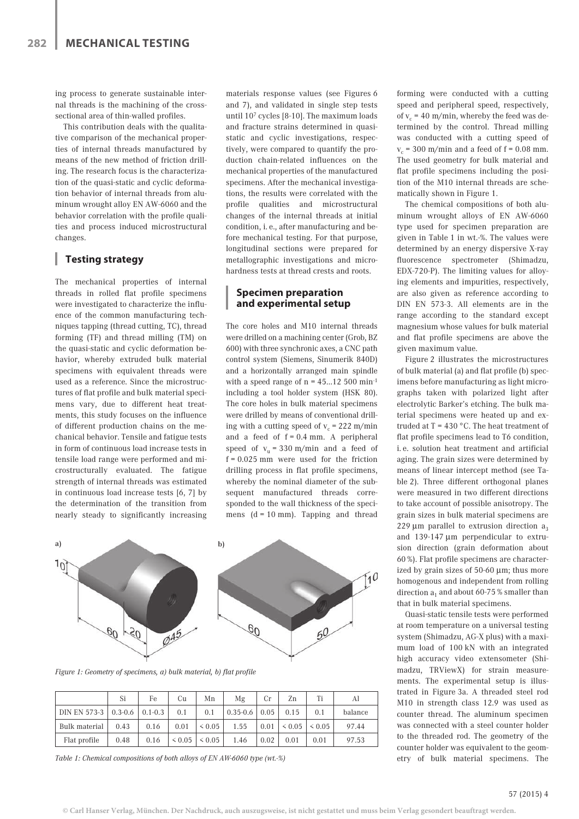ing process to generate sustainable internal threads is the machining of the crosssectional area of thin-walled profiles.

This contribution deals with the qualitative comparison of the mechanical properties of internal threads manufactured by means of the new method of friction drilling. The research focus is the characterization of the quasi-static and cyclic deformation behavior of internal threads from aluminum wrought alloy EN AW-6060 and the behavior correlation with the profile qualities and process induced microstructural changes.

#### U. **Testing strategy**

The mechanical properties of internal threads in rolled flat profile specimens were investigated to characterize the influence of the common manufacturing techniques tapping (thread cutting, TC), thread forming (TF) and thread milling (TM) on the quasi-static and cyclic deformation behavior, whereby extruded bulk material specimens with equivalent threads were used as a reference. Since the microstructures of flat profile and bulk material specimens vary, due to different heat treatments, this study focuses on the influence of different production chains on the mechanical behavior. Tensile and fatigue tests in form of continuous load increase tests in tensile load range were performed and microstructurally evaluated. The fatigue strength of internal threads was estimated in continuous load increase tests [6, 7] by the determination of the transition from nearly steady to significantly increasing materials response values (see Figures 6 and 7), and validated in single step tests until 107 cycles [8-10]. The maximum loads and fracture strains determined in quasistatic and cyclic investigations, respectively, were compared to quantify the production chain-related influences on the mechanical properties of the manufactured specimens. After the mechanical investigations, the results were correlated with the profile qualities and microstructural changes of the internal threads at initial condition, i. e., after manufacturing and before mechanical testing. For that purpose, longitudinal sections were prepared for metallographic investigations and microhardness tests at thread crests and roots.

### **Specimen preparation and experimental setup**

The core holes and M10 internal threads were drilled on a machining center (Grob, BZ 600) with three synchronic axes, a CNC path control system (Siemens, Sinumerik 840D) and a horizontally arranged main spindle with a speed range of  $n = 45...12500$  min<sup>-1</sup> including a tool holder system (HSK 80). The core holes in bulk material specimens were drilled by means of conventional drilling with a cutting speed of  $v_c$  = 222 m/min and a feed of  $f = 0.4$  mm. A peripheral speed of  $v_u = 330$  m/min and a feed of f = 0.025 mm were used for the friction drilling process in flat profile specimens, whereby the nominal diameter of the subsequent manufactured threads corresponded to the wall thickness of the specimens  $(d = 10 \text{ mm})$ . Tapping and thread



*Figure 1: Geometry of specimens, a) bulk material, b) flat profile* 

|                                  | Si   | Fe   | Cu   | Mn                        | Mg                | Cr   | Zn                       | Ti   | Al      |
|----------------------------------|------|------|------|---------------------------|-------------------|------|--------------------------|------|---------|
| DIN EN 573-3   0.3-0.6   0.1-0.3 |      |      | 0.1  | 0.1                       | $0.35 - 0.6$ 0.05 |      | 0.15                     | 0.1  | balance |
| Bulk material                    | 0.43 | 0.16 | 0.01 | $\leq 0.05$               | 1.55              |      | $0.01$   < 0.05   < 0.05 |      | 97.44   |
| Flat profile                     | 0.48 | 0.16 |      | $\leq 0.05$   $\leq 0.05$ | 1.46              | 0.02 | 0.01                     | 0.01 | 97.53   |

*Table 1: Chemical compositions of both alloys of EN AW-6060 type (wt.-%)*

forming were conducted with a cutting speed and peripheral speed, respectively, of  $v_c$  = 40 m/min, whereby the feed was determined by the control. Thread milling was conducted with a cutting speed of  $v_c$  = 300 m/min and a feed of f = 0.08 mm. The used geometry for bulk material and flat profile specimens including the position of the M10 internal threads are schematically shown in Figure 1.

The chemical compositions of both aluminum wrought alloys of EN AW-6060 type used for specimen preparation are given in Table 1 in wt.-%. The values were determined by an energy dispersive X-ray fluorescence spectrometer (Shimadzu, EDX-720-P). The limiting values for alloying elements and impurities, respectively, are also given as reference according to DIN EN 573-3. All elements are in the range according to the standard except magnesium whose values for bulk material and flat profile specimens are above the given maximum value.

Figure 2 illustrates the microstructures of bulk material (a) and flat profile (b) specimens before manufacturing as light micrographs taken with polarized light after electrolytic Barker's etching. The bulk material specimens were heated up and extruded at  $T = 430$  °C. The heat treatment of flat profile specimens lead to T6 condition, i. e. solution heat treatment and artificial aging. The grain sizes were determined by means of linear intercept method (see Table 2). Three different orthogonal planes were measured in two different directions to take account of possible anisotropy. The grain sizes in bulk material specimens are 229  $\mu$ m parallel to extrusion direction a<sub>3</sub> and 139-147 μm perpendicular to extrusion direction (grain deformation about 60 %). Flat profile specimens are characterized by grain sizes of 50-60 μm; thus more homogenous and independent from rolling direction  $a_1$  and about 60-75 % smaller than that in bulk material specimens.

Quasi-static tensile tests were performed at room temperature on a universal testing system (Shimadzu, AG-X plus) with a maximum load of 100 kN with an integrated high accuracy video extensometer (Shimadzu, TRViewX) for strain measurements. The experimental setup is illustrated in Figure 3a. A threaded steel rod M10 in strength class 12.9 was used as counter thread. The aluminum specimen was connected with a steel counter holder to the threaded rod. The geometry of the counter holder was equivalent to the geometry of bulk material specimens. The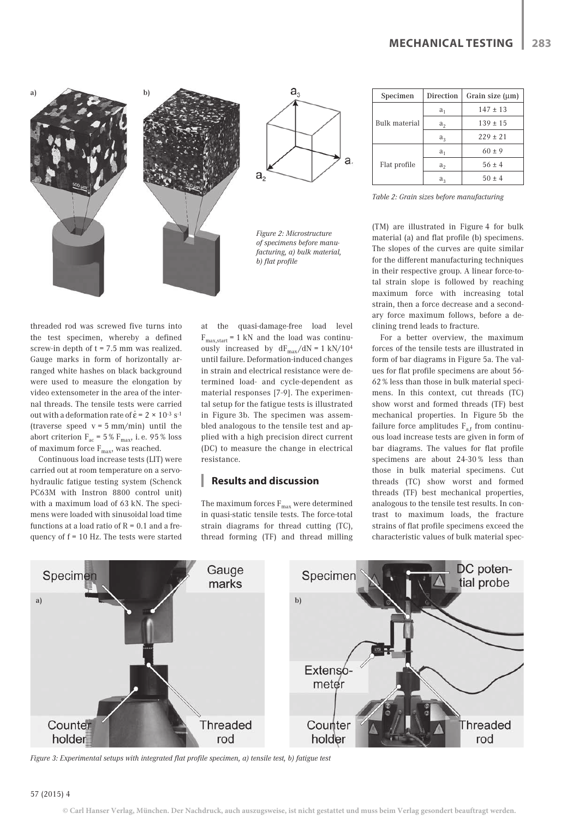



*Figure 2: Microstructure of specimens before manufacturing, a) bulk material, b) flat profile* 

threaded rod was screwed five turns into the test specimen, whereby a defined screw-in depth of  $t = 7.5$  mm was realized. Gauge marks in form of horizontally arranged white hashes on black background were used to measure the elongation by video extensometer in the area of the internal threads. The tensile tests were carried out with a deformation rate of  $\dot{\epsilon} = 2 \times 10^{-3} \text{ s}^{-1}$ (traverse speed  $v = 5$  mm/min) until the abort criterion  $F_{ac}$  = 5 %  $F_{max}$ , i. e. 95 % loss of maximum force  $F_{\text{max}}$ , was reached.

Continuous load increase tests (LIT) were carried out at room temperature on a servohydraulic fatigue testing system (Schenck PC63M with Instron 8800 control unit) with a maximum load of 63 kN. The specimens were loaded with sinusoidal load time functions at a load ratio of  $R = 0.1$  and a frequency of f = 10 Hz. The tests were started

at the quasi-damage-free load level  $F_{max,start} = 1$  kN and the load was continuously increased by  $dF_{max}/dN = 1 \text{ kN}/10^4$ until failure. Deformation-induced changes in strain and electrical resistance were determined load- and cycle-dependent as material responses [7-9]. The experimental setup for the fatigue tests is illustrated in Figure 3b. The specimen was assembled analogous to the tensile test and applied with a high precision direct current (DC) to measure the change in electrical resistance.

# **Results and discussion**

The maximum forces  $F_{max}$  were determined in quasi-static tensile tests. The force-total strain diagrams for thread cutting (TC), thread forming (TF) and thread milling

| Specimen             | <b>Direction</b> | Grain size (µm) |  |  |  |
|----------------------|------------------|-----------------|--|--|--|
|                      | $a_1$            | $147 \pm 13$    |  |  |  |
| <b>Bulk material</b> | a <sub>2</sub>   | $139 \pm 15$    |  |  |  |
|                      | $a_3$            | $229 \pm 21$    |  |  |  |
|                      | $a_1$            | $60 \pm 9$      |  |  |  |
| Flat profile         | a <sub>2</sub>   | $56 \pm 4$      |  |  |  |
|                      | $a_3$            | $50 \pm 4$      |  |  |  |

*Table 2: Grain sizes before manufacturing*

(TM) are illustrated in Figure 4 for bulk material (a) and flat profile (b) specimens. The slopes of the curves are quite similar for the different manufacturing techniques in their respective group. A linear force-total strain slope is followed by reaching maximum force with increasing total strain, then a force decrease and a secondary force maximum follows, before a declining trend leads to fracture.

For a better overview, the maximum forces of the tensile tests are illustrated in form of bar diagrams in Figure 5a. The values for flat profile specimens are about 56- 62 % less than those in bulk material specimens. In this context, cut threads (TC) show worst and formed threads (TF) best mechanical properties. In Figure 5b the failure force amplitudes  $F_{a,f}$  from continuous load increase tests are given in form of bar diagrams. The values for flat profile specimens are about 24-30 % less than those in bulk material specimens. Cut threads (TC) show worst and formed threads (TF) best mechanical properties, analogous to the tensile test results. In contrast to maximum loads, the fracture strains of flat profile specimens exceed the characteristic values of bulk material spec-



*Figure 3: Experimental setups with integrated flat profile specimen, a) tensile test, b) fatigue test*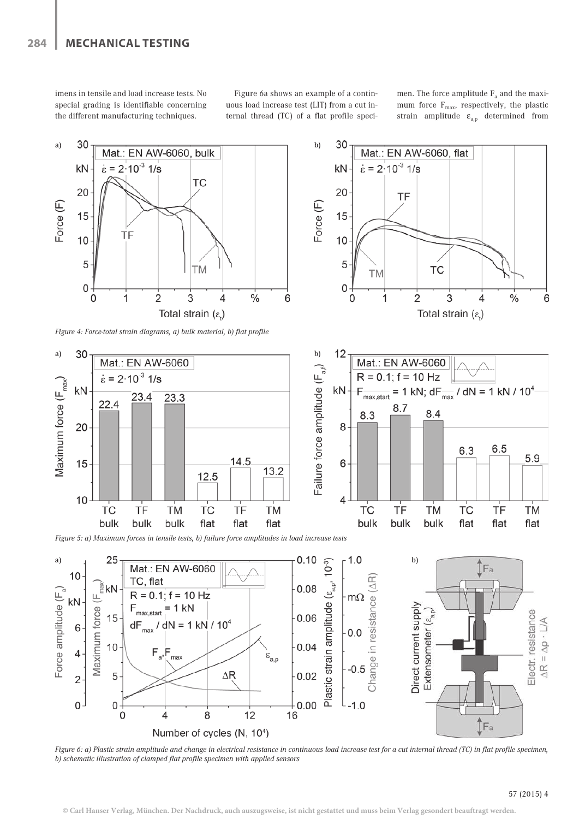imens in tensile and load increase tests. No special grading is identifiable concerning the different manufacturing techniques.

Figure 6a shows an example of a continuous load increase test (LIT) from a cut internal thread (TC) of a flat profile specimen. The force amplitude  $F_a$  and the maximum force  $F_{\text{max}}$ , respectively, the plastic strain amplitude  $\varepsilon_{a,p}$  determined from





*Figure 5: a) Maximum forces in tensile tests, b) failure force amplitudes in load increase tests*



*Figure* 6: a) Plastic strain amplitude and change in electrical resistance in continuous load increase test for a cut internal thread (TC) in flat profile specimen, *b) schematic illustration of clamped flat profile specimen with applied sensors*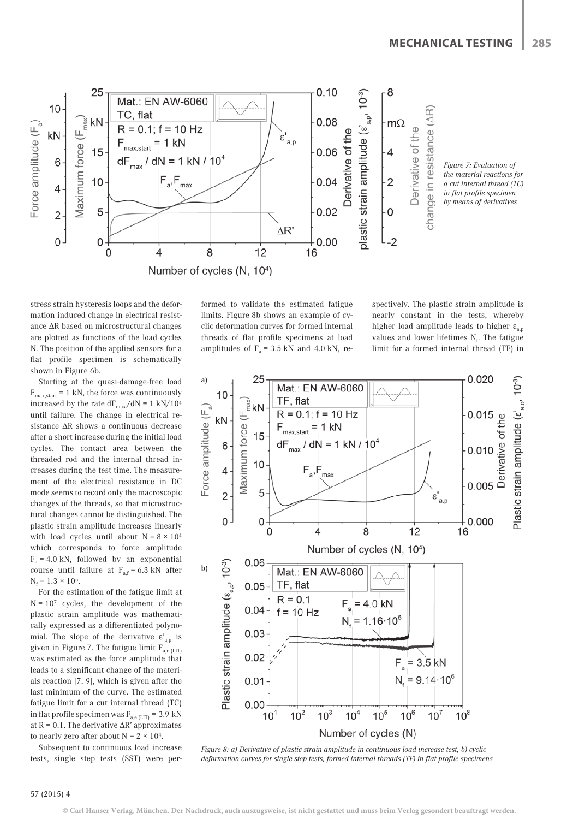

stress strain hysteresis loops and the deformation induced change in electrical resistance ΔR based on microstructural changes are plotted as functions of the load cycles N. The position of the applied sensors for a flat profile specimen is schematically shown in Figure 6b.

Starting at the quasi-damage-free load  $F_{\text{max.start}} = 1 \text{ kN}$ , the force was continuously increased by the rate  $\rm{dF_{max}}/\rm{dN}$  = 1 kN/104  $\,$ until failure. The change in electrical resistance ΔR shows a continuous decrease after a short increase during the initial load cycles. The contact area between the threaded rod and the internal thread increases during the test time. The measurement of the electrical resistance in DC mode seems to record only the macroscopic changes of the threads, so that microstructural changes cannot be distinguished. The plastic strain amplitude increases linearly with load cycles until about  $N = 8 \times 10^4$ which corresponds to force amplitude  $F_a = 4.0 \text{ kN}$ , followed by an exponential course until failure at  $F_{af} = 6.3$  kN after  $N_f = 1.3 \times 10^5$ .

For the estimation of the fatigue limit at  $N = 10<sup>7</sup>$  cycles, the development of the plastic strain amplitude was mathematically expressed as a differentiated polynomial. The slope of the derivative  $\varepsilon_{a,p}$  is given in Figure 7. The fatigue limit  $F_{\text{a.e. (LIT)}}$ was estimated as the force amplitude that leads to a significant change of the materials reaction [7, 9], which is given after the last minimum of the curve. The estimated fatigue limit for a cut internal thread (TC) in flat profile specimen was  $F_{a,e(LIT)} = 3.9$  kN at  $R = 0.1$ . The derivative  $\Delta R'$  approximates to nearly zero after about  $N = 2 \times 10^4$ .

Subsequent to continuous load increase tests, single step tests (SST) were performed to validate the estimated fatigue limits. Figure 8b shows an example of cyclic deformation curves for formed internal threads of flat profile specimens at load amplitudes of  $F_a = 3.5$  kN and 4.0 kN, re-

spectively. The plastic strain amplitude is nearly constant in the tests, whereby higher load amplitude leads to higher  $\varepsilon_{\text{an}}$ values and lower lifetimes  $N_f$ . The fatigue limit for a formed internal thread (TF) in



*Figure 8: a) Derivative of plastic strain amplitude in continuous load increase test, b) cyclic deformation curves for single step tests; formed internal threads (TF) in flat profile specimens*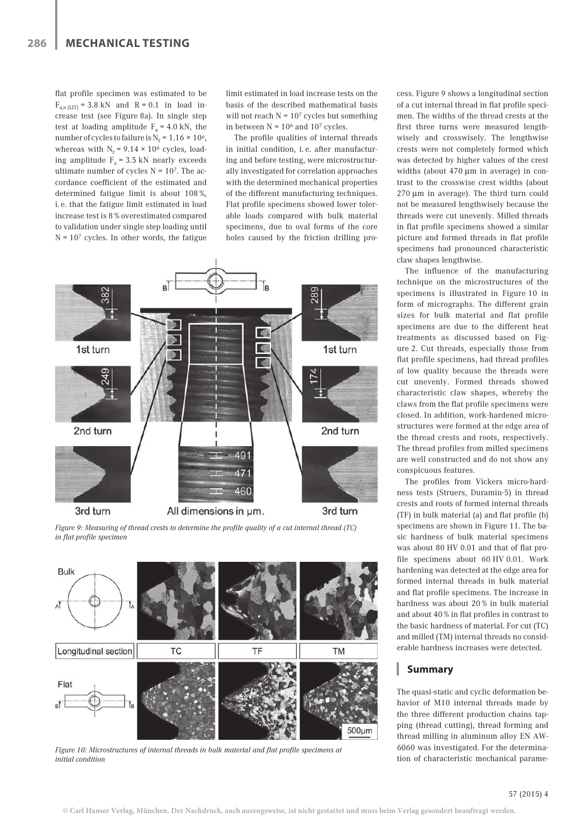flat profile specimen was estimated to be  $F_{\text{a e (LIT)}}$  = 3.8 kN and R = 0.1 in load increase test (see Figure 8a). In single step test at loading amplitude  $F_a = 4.0 \text{ kN}$ , the number of cycles to failure is  $N_f = 1.16 \times 10^6$ , whereas with  $N_f = 9.14 \times 10^6$  cycles, loading amplitude  $F_a = 3.5$  kN nearly exceeds ultimate number of cycles  $N = 10<sup>7</sup>$ . The accordance coefficient of the estimated and determined fatigue limit is about 108 %, i. e. that the fatigue limit estimated in load increase test is 8 % overestimated compared to validation under single step loading until  $N = 10<sup>7</sup>$  cycles. In other words, the fatigue limit estimated in load increase tests on the basis of the described mathematical basis will not reach  $N = 10<sup>7</sup>$  cycles but something in between  $N = 10^6$  and  $10^7$  cycles.

The profile qualities of internal threads in initial condition, i. e. after manufacturing and before testing, were microstructurally investigated for correlation approaches with the determined mechanical properties of the different manufacturing techniques. Flat profile specimens showed lower tolerable loads compared with bulk material specimens, due to oval forms of the core holes caused by the friction drilling pro-



*Figure 9: Measuring of thread crests to determine the profile quality of a cut internal thread (TC) in flat profile specimen*



*Figure 10: Microstructures of internal threads in bulk material and flat profile specimens at initial condition*

cess. Figure 9 shows a longitudinal section of a cut internal thread in flat profile specimen. The widths of the thread crests at the first three turns were measured lengthwisely and crosswisely. The lengthwise crests were not completely formed which was detected by higher values of the crest widths (about 470 μm in average) in contrast to the crosswise crest widths (about 270 μm in average). The third turn could not be measured lengthwisely because the threads were cut unevenly. Milled threads in flat profile specimens showed a similar picture and formed threads in flat profile specimens had pronounced characteristic claw shapes lengthwise.

The influence of the manufacturing technique on the microstructures of the specimens is illustrated in Figure 10 in form of micrographs. The different grain sizes for bulk material and flat profile specimens are due to the different heat treatments as discussed based on Figure 2. Cut threads, especially those from flat profile specimens, had thread profiles of low quality because the threads were cut unevenly. Formed threads showed characteristic claw shapes, whereby the claws from the flat profile specimens were closed. In addition, work-hardened microstructures were formed at the edge area of the thread crests and roots, respectively. The thread profiles from milled specimens are well constructed and do not show any conspicuous features.

The profiles from Vickers micro-hardness tests (Struers, Duramin-5) in thread crests and roots of formed internal threads (TF) in bulk material (a) and flat profile (b) specimens are shown in Figure 11. The basic hardness of bulk material specimens was about 80 HV 0.01 and that of flat profile specimens about 60 HV 0.01. Work hardening was detected at the edge area for formed internal threads in bulk material and flat profile specimens. The increase in hardness was about 20 % in bulk material and about 40 % in flat profiles in contrast to the basic hardness of material. For cut (TC) and milled (TM) internal threads no considerable hardness increases were detected.

# **Summary**

The quasi-static and cyclic deformation behavior of M10 internal threads made by the three different production chains tapping (thread cutting), thread forming and thread milling in aluminum alloy EN AW-6060 was investigated. For the determination of characteristic mechanical parame-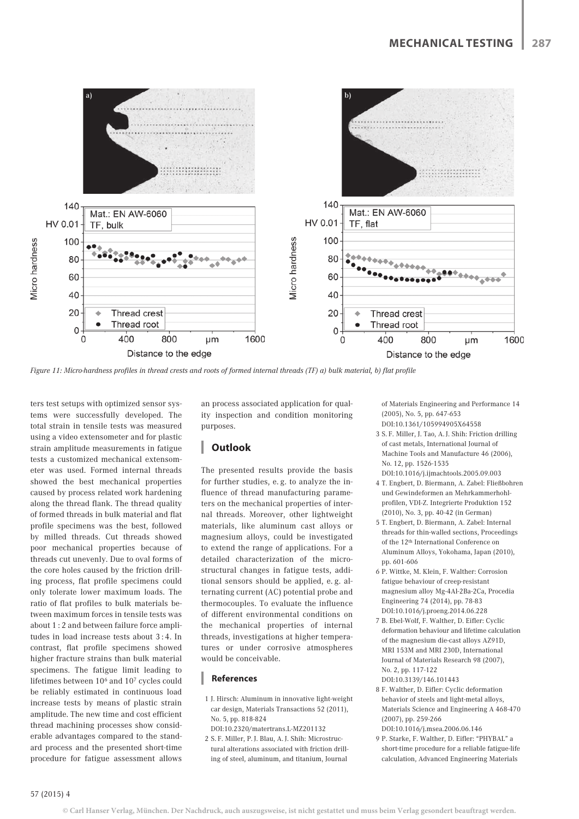

*Figure 11: Micro-hardness profiles in thread crests and roots of formed internal threads (TF) a) bulk material, b) flat profile*

ters test setups with optimized sensor systems were successfully developed. The total strain in tensile tests was measured using a video extensometer and for plastic strain amplitude measurements in fatigue tests a customized mechanical extensometer was used. Formed internal threads showed the best mechanical properties caused by process related work hardening along the thread flank. The thread quality of formed threads in bulk material and flat profile specimens was the best, followed by milled threads. Cut threads showed poor mechanical properties because of threads cut unevenly. Due to oval forms of the core holes caused by the friction drilling process, flat profile specimens could only tolerate lower maximum loads. The ratio of flat profiles to bulk materials between maximum forces in tensile tests was about 1 : 2 and between failure force amplitudes in load increase tests about 3 : 4. In contrast, flat profile specimens showed higher fracture strains than bulk material specimens. The fatigue limit leading to lifetimes between 106 and 107 cycles could be reliably estimated in continuous load increase tests by means of plastic strain amplitude. The new time and cost efficient thread machining processes show considerable advantages compared to the standard process and the presented short-time procedure for fatigue assessment allows

an process associated application for quality inspection and condition monitoring purposes.

# **Outlook**

The presented results provide the basis for further studies, e. g. to analyze the influence of thread manufacturing parameters on the mechanical properties of internal threads. Moreover, other lightweight materials, like aluminum cast alloys or magnesium alloys, could be investigated to extend the range of applications. For a detailed characterization of the microstructural changes in fatigue tests, additional sensors should be applied, e. g. alternating current (AC) potential probe and thermocouples. To evaluate the influence of different environmental conditions on the mechanical properties of internal threads, investigations at higher temperatures or under corrosive atmospheres would be conceivable.

#### **References**

- 1 J. Hirsch: Aluminum in innovative light-weight car design, Materials Transactions 52 (2011), No. 5, pp. 818-824
- DOI:10.2320/matertrans.L-MZ201132
- 2 S. F. Miller, P. J. Blau, A. J. Shih: Microstructural alterations associated with friction drilling of steel, aluminum, and titanium, Journal

of Materials Engineering and Performance 14 (2005), No. 5, pp. 647-653 DOI:10.1361/105994905X64558

- 3 S. F. Miller, J. Tao, A. J. Shih: Friction drilling of cast metals, International Journal of Machine Tools and Manufacture 46 (2006), No. 12, pp. 1526-1535 DOI:10.1016/j.ijmachtools.2005.09.003
- 4 T. Engbert, D. Biermann, A. Zabel: Fließbohren und Gewindeformen an Mehrkammerhohlprofilen, VDI-Z. Integrierte Produktion 152 (2010), No. 3, pp. 40-42 (in German)
- 5 T. Engbert, D. Biermann, A. Zabel: Internal threads for thin-walled sections, Proceedings of the 12th International Conference on Aluminum Alloys, Yokohama, Japan (2010), pp. 601-606
- 6 P. Wittke, M. Klein, F. Walther: Corrosion fatigue behaviour of creep-resistant magnesium alloy Mg-4Al-2Ba-2Ca, Procedia Engineering 74 (2014), pp. 78-83 DOI:10.1016/j.proeng.2014.06.228
- 7 B. Ebel-Wolf, F. Walther, D. Eifler: Cyclic deformation behaviour and lifetime calculation of the magnesium die-cast alloys AZ91D, MRI 153M and MRI 230D, International Journal of Materials Research 98 (2007), No. 2, pp. 117-122 DOI:10.3139/146.101443
- 8 F. Walther, D. Eifler: Cyclic deformation behavior of steels and light-metal alloys, Materials Science and Engineering A 468-470 (2007), pp. 259-266 DOI:10.1016/j.msea.2006.06.146
- 9 P. Starke, F. Walther, D. Eifler: "PHYBAL" a short-time procedure for a reliable fatigue-life calculation, Advanced Engineering Materials